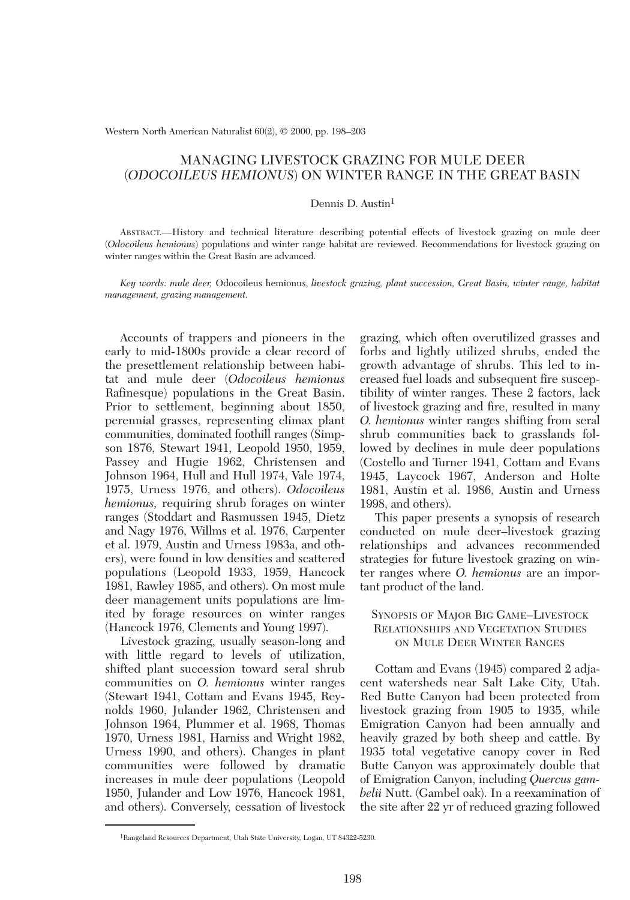Western North American Naturalist 60(2), © 2000, pp. 198–203

# MANAGING LIVESTOCK GRAZING FOR MULE DEER (*ODOCOILEUS HEMIONUS*) ON WINTER RANGE IN THE GREAT BASIN

## Dennis D. Austin<sup>1</sup>

ABSTRACT.—History and technical literature describing potential effects of livestock grazing on mule deer (*Odocoileus hemionus*) populations and winter range habitat are reviewed. Recommendations for livestock grazing on winter ranges within the Great Basin are advanced.

*Key words: mule deer,* Odocoileus hemionus, *livestock grazing, plant succession, Great Basin, winter range, habitat management, grazing management.*

Accounts of trappers and pioneers in the early to mid-1800s provide a clear record of the presettlement relationship between habitat and mule deer (*Odocoileus hemionus* Rafinesque) populations in the Great Basin. Prior to settlement, beginning about 1850, perennial grasses, representing climax plant communities, dominated foothill ranges (Simpson 1876, Stewart 1941, Leopold 1950, 1959, Passey and Hugie 1962, Christensen and Johnson 1964, Hull and Hull 1974, Vale 1974, 1975, Urness 1976, and others). *Odocoileus hemionus,* requiring shrub forages on winter ranges (Stoddart and Rasmussen 1945, Dietz and Nagy 1976, Willms et al. 1976, Carpenter et al. 1979, Austin and Urness 1983a, and others), were found in low densities and scattered populations (Leopold 1933, 1959, Hancock 1981, Rawley 1985, and others). On most mule deer management units populations are limited by forage resources on winter ranges (Hancock 1976, Clements and Young 1997).

Livestock grazing, usually season-long and with little regard to levels of utilization, shifted plant succession toward seral shrub communities on *O. hemionus* winter ranges (Stewart 1941, Cottam and Evans 1945, Reynolds 1960, Julander 1962, Christensen and Johnson 1964, Plummer et al. 1968, Thomas 1970, Urness 1981, Harniss and Wright 1982, Urness 1990, and others). Changes in plant communities were followed by dramatic increases in mule deer populations (Leopold 1950, Julander and Low 1976, Hancock 1981, and others). Conversely, cessation of livestock

grazing, which often overutilized grasses and forbs and lightly utilized shrubs, ended the growth advantage of shrubs. This led to increased fuel loads and subsequent fire susceptibility of winter ranges. These 2 factors, lack of livestock grazing and fire, resulted in many *O. hemionus* winter ranges shifting from seral shrub communities back to grasslands followed by declines in mule deer populations (Costello and Turner 1941, Cottam and Evans 1945, Laycock 1967, Anderson and Holte 1981, Austin et al. 1986, Austin and Urness 1998, and others).

This paper presents a synopsis of research conducted on mule deer–livestock grazing relationships and advances recommended strategies for future livestock grazing on winter ranges where *O. hemionus* are an important product of the land.

# SYNOPSIS OF MAJOR BIG GAME–LIVESTOCK RELATIONSHIPS AND VEGETATION STUDIES ON MULE DEER WINTER RANGES

Cottam and Evans (1945) compared 2 adjacent watersheds near Salt Lake City, Utah. Red Butte Canyon had been protected from livestock grazing from 1905 to 1935, while Emigration Canyon had been annually and heavily grazed by both sheep and cattle. By 1935 total vegetative canopy cover in Red Butte Canyon was approximately double that of Emigration Canyon, including *Quercus gambelii* Nutt. (Gambel oak). In a reexamination of the site after 22 yr of reduced grazing followed

<sup>1</sup>Rangeland Resources Department, Utah State University, Logan, UT 84322-5230.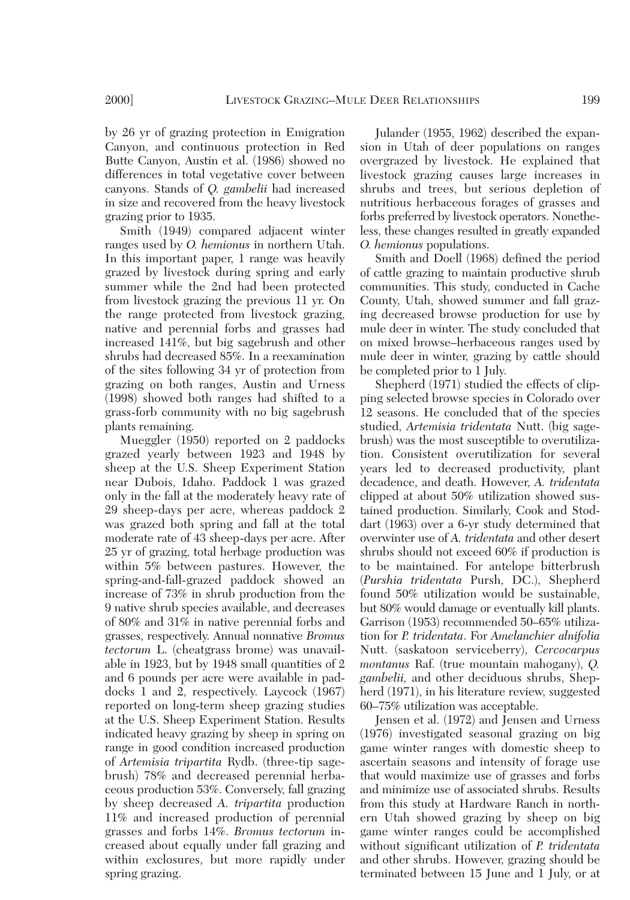by 26 yr of grazing protection in Emigration Canyon, and continuous protection in Red Butte Canyon, Austin et al. (1986) showed no differences in total vegetative cover between canyons. Stands of *Q. gambelii* had increased in size and recovered from the heavy livestock

grazing prior to 1935. Smith (1949) compared adjacent winter ranges used by *O. hemionus* in northern Utah. In this important paper, 1 range was heavily grazed by livestock during spring and early summer while the 2nd had been protected from livestock grazing the previous 11 yr. On the range protected from livestock grazing, native and perennial forbs and grasses had increased 141%, but big sagebrush and other shrubs had decreased 85%. In a reexamination of the sites following 34 yr of protection from grazing on both ranges, Austin and Urness (1998) showed both ranges had shifted to a grass-forb community with no big sagebrush plants remaining.

Mueggler (1950) reported on 2 paddocks grazed yearly between 1923 and 1948 by sheep at the U.S. Sheep Experiment Station near Dubois, Idaho. Paddock 1 was grazed only in the fall at the moderately heavy rate of 29 sheep-days per acre, whereas paddock 2 was grazed both spring and fall at the total moderate rate of 43 sheep-days per acre. After 25 yr of grazing, total herbage production was within 5% between pastures. However, the spring-and-fall-grazed paddock showed an increase of 73% in shrub production from the 9 native shrub species available, and decreases of 80% and 31% in native perennial forbs and grasses, respectively. Annual nonnative *Bromus tectorum* L. (cheatgrass brome) was unavailable in 1923, but by 1948 small quantities of 2 and 6 pounds per acre were available in paddocks 1 and 2, respectively. Laycock (1967) reported on long-term sheep grazing studies at the U.S. Sheep Experiment Station. Results indicated heavy grazing by sheep in spring on range in good condition increased production of *Artemisia tripartita* Rydb. (three-tip sagebrush) 78% and decreased perennial herbaceous production 53%. Conversely, fall grazing by sheep decreased *A. tripartita* production 11% and increased production of perennial grasses and forbs 14%. *Bromus tectorum* increased about equally under fall grazing and within exclosures, but more rapidly under spring grazing.

Julander (1955, 1962) described the expansion in Utah of deer populations on ranges overgrazed by livestock. He explained that livestock grazing causes large increases in shrubs and trees, but serious depletion of nutritious herbaceous forages of grasses and forbs preferred by livestock operators. Nonetheless, these changes resulted in greatly expanded *O. hemionus* populations.

Smith and Doell (1968) defined the period of cattle grazing to maintain productive shrub communities. This study, conducted in Cache County, Utah, showed summer and fall grazing decreased browse production for use by mule deer in winter. The study concluded that on mixed browse–herbaceous ranges used by mule deer in winter, grazing by cattle should be completed prior to 1 July.

Shepherd (1971) studied the effects of clipping selected browse species in Colorado over 12 seasons. He concluded that of the species studied, *Artemisia tridentata* Nutt. (big sagebrush) was the most susceptible to overutilization. Consistent overutilization for several years led to decreased productivity, plant decadence, and death. However, *A. tridentata* clipped at about 50% utilization showed sustained production. Similarly, Cook and Stoddart (1963) over a 6-yr study determined that overwinter use of *A. tridentata* and other desert shrubs should not exceed 60% if production is to be maintained. For antelope bitterbrush (*Purshia tridentata* Pursh, DC.), Shepherd found 50% utilization would be sustainable, but 80% would damage or eventually kill plants. Garrison (1953) recommended 50–65% utilization for *P. tridentata*. For *Amelanchier alnifolia* Nutt. (saskatoon serviceberry), *Cercocarpus montanus* Raf. (true mountain mahogany), *Q. gambelii,* and other deciduous shrubs, Shepherd (1971), in his literature review, suggested 60–75% utilization was acceptable.

Jensen et al. (1972) and Jensen and Urness (1976) investigated seasonal grazing on big game winter ranges with domestic sheep to ascertain seasons and intensity of forage use that would maximize use of grasses and forbs and minimize use of associated shrubs. Results from this study at Hardware Ranch in northern Utah showed grazing by sheep on big game winter ranges could be accomplished without significant utilization of *P. tridentata* and other shrubs. However, grazing should be terminated between 15 June and 1 July, or at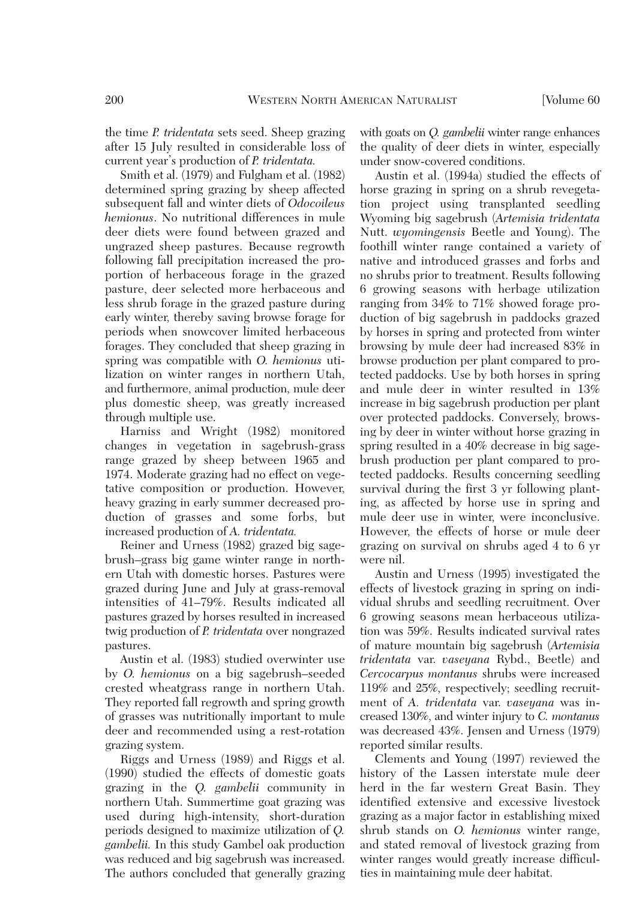the time *P. tridentata* sets seed. Sheep grazing after 15 July resulted in considerable loss of current year's production of *P. tridentata.*

Smith et al. (1979) and Fulgham et al. (1982) determined spring grazing by sheep affected subsequent fall and winter diets of *Odocoileus hemionus*. No nutritional differences in mule deer diets were found between grazed and ungrazed sheep pastures. Because regrowth following fall precipitation increased the proportion of herbaceous forage in the grazed pasture, deer selected more herbaceous and less shrub forage in the grazed pasture during early winter, thereby saving browse forage for periods when snowcover limited herbaceous forages. They concluded that sheep grazing in spring was compatible with *O. hemionus* utilization on winter ranges in northern Utah, and furthermore, animal production, mule deer plus domestic sheep, was greatly increased through multiple use.

Harniss and Wright (1982) monitored changes in vegetation in sagebrush-grass range grazed by sheep between 1965 and 1974. Moderate grazing had no effect on vegetative composition or production. However, heavy grazing in early summer decreased production of grasses and some forbs, but increased production of *A. tridentata.*

Reiner and Urness (1982) grazed big sagebrush–grass big game winter range in northern Utah with domestic horses. Pastures were grazed during June and July at grass-removal intensities of 41–79%. Results indicated all pastures grazed by horses resulted in increased twig production of *P. tridentata* over nongrazed pastures.

Austin et al. (1983) studied overwinter use by *O. hemionus* on a big sagebrush–seeded crested wheatgrass range in northern Utah. They reported fall regrowth and spring growth of grasses was nutritionally important to mule deer and recommended using a rest-rotation grazing system.

Riggs and Urness (1989) and Riggs et al. (1990) studied the effects of domestic goats grazing in the *Q. gambelii* community in northern Utah. Summertime goat grazing was used during high-intensity, short-duration periods designed to maximize utilization of *Q. gambelii.* In this study Gambel oak production was reduced and big sagebrush was increased. The authors concluded that generally grazing

with goats on *Q. gambelii* winter range enhances the quality of deer diets in winter, especially under snow-covered conditions.

Austin et al. (1994a) studied the effects of horse grazing in spring on a shrub revegetation project using transplanted seedling Wyoming big sagebrush (*Artemisia tridentata* Nutt. *wyomingensis* Beetle and Young). The foothill winter range contained a variety of native and introduced grasses and forbs and no shrubs prior to treatment. Results following 6 growing seasons with herbage utilization ranging from 34% to 71% showed forage production of big sagebrush in paddocks grazed by horses in spring and protected from winter browsing by mule deer had increased 83% in browse production per plant compared to protected paddocks. Use by both horses in spring and mule deer in winter resulted in 13% increase in big sagebrush production per plant over protected paddocks. Conversely, browsing by deer in winter without horse grazing in spring resulted in a 40% decrease in big sagebrush production per plant compared to protected paddocks. Results concerning seedling survival during the first 3 yr following planting, as affected by horse use in spring and mule deer use in winter, were inconclusive. However, the effects of horse or mule deer grazing on survival on shrubs aged 4 to 6 yr were nil.

Austin and Urness (1995) investigated the effects of livestock grazing in spring on individual shrubs and seedling recruitment. Over 6 growing seasons mean herbaceous utilization was 59%. Results indicated survival rates of mature mountain big sagebrush (*Artemisia tridentata* var. *vaseyana* Rybd., Beetle) and *Cercocarpus montanus* shrubs were increased 119% and 25%, respectively; seedling recruitment of *A. tridentata* var. *vaseyana* was increased 130%, and winter injury to *C. montanus* was decreased 43%. Jensen and Urness (1979) reported similar results.

Clements and Young (1997) reviewed the history of the Lassen interstate mule deer herd in the far western Great Basin. They identified extensive and excessive livestock grazing as a major factor in establishing mixed shrub stands on *O. hemionus* winter range, and stated removal of livestock grazing from winter ranges would greatly increase difficulties in maintaining mule deer habitat.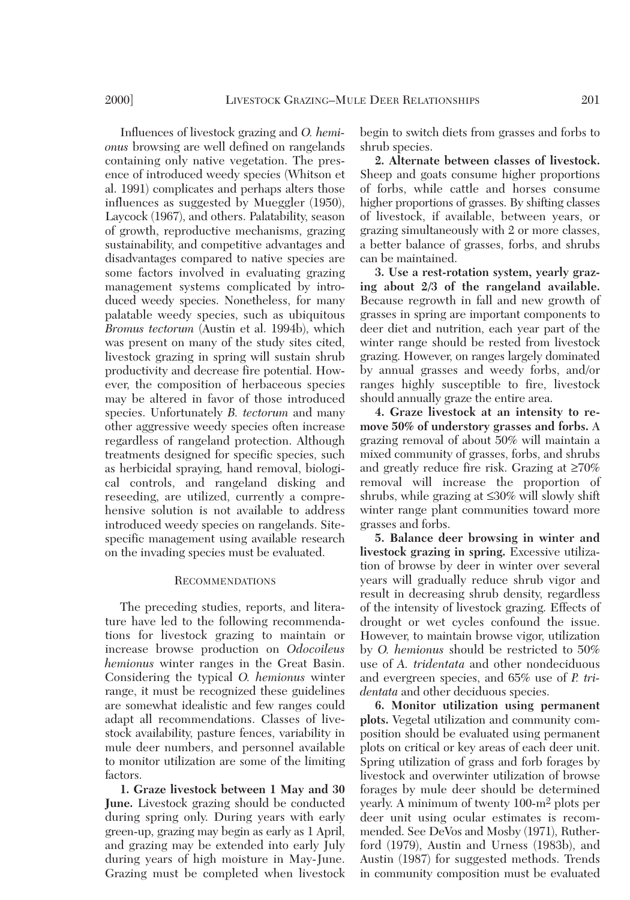Influences of livestock grazing and *O. hemionus* browsing are well defined on rangelands containing only native vegetation. The presence of introduced weedy species (Whitson et al. 1991) complicates and perhaps alters those influences as suggested by Mueggler (1950), Laycock (1967), and others. Palatability, season of growth, reproductive mechanisms, grazing sustainability, and competitive advantages and disadvantages compared to native species are some factors involved in evaluating grazing management systems complicated by introduced weedy species. Nonetheless, for many palatable weedy species, such as ubiquitous *Bromus tectorum* (Austin et al. 1994b), which was present on many of the study sites cited, livestock grazing in spring will sustain shrub productivity and decrease fire potential. However, the composition of herbaceous species may be altered in favor of those introduced species. Unfortunately *B. tectorum* and many other aggressive weedy species often increase regardless of rangeland protection. Although treatments designed for specific species, such as herbicidal spraying, hand removal, biological controls, and rangeland disking and reseeding, are utilized, currently a comprehensive solution is not available to address introduced weedy species on rangelands. Sitespecific management using available research on the invading species must be evaluated.

#### RECOMMENDATIONS

The preceding studies, reports, and literature have led to the following recommendations for livestock grazing to maintain or increase browse production on *Odocoileus hemionus* winter ranges in the Great Basin. Considering the typical *O. hemionus* winter range, it must be recognized these guidelines are somewhat idealistic and few ranges could adapt all recommendations. Classes of livestock availability, pasture fences, variability in mule deer numbers, and personnel available to monitor utilization are some of the limiting factors.

**1. Graze livestock between 1 May and 30 June.** Livestock grazing should be conducted during spring only. During years with early green-up, grazing may begin as early as 1 April, and grazing may be extended into early July during years of high moisture in May-June. Grazing must be completed when livestock begin to switch diets from grasses and forbs to shrub species.

**2. Alternate between classes of livestock.** Sheep and goats consume higher proportions of forbs, while cattle and horses consume higher proportions of grasses. By shifting classes of livestock, if available, between years, or grazing simultaneously with 2 or more classes, a better balance of grasses, forbs, and shrubs can be maintained.

**3. Use a rest-rotation system, yearly grazing about 2/3 of the rangeland available.** Because regrowth in fall and new growth of grasses in spring are important components to deer diet and nutrition, each year part of the winter range should be rested from livestock grazing. However, on ranges largely dominated by annual grasses and weedy forbs, and/or ranges highly susceptible to fire, livestock should annually graze the entire area.

**4. Graze livestock at an intensity to remove 50% of understory grasses and forbs.** A grazing removal of about 50% will maintain a mixed community of grasses, forbs, and shrubs and greatly reduce fire risk. Grazing at ≥70% removal will increase the proportion of shrubs, while grazing at ≤30% will slowly shift winter range plant communities toward more grasses and forbs.

**5. Balance deer browsing in winter and livestock grazing in spring.** Excessive utilization of browse by deer in winter over several years will gradually reduce shrub vigor and result in decreasing shrub density, regardless of the intensity of livestock grazing. Effects of drought or wet cycles confound the issue. However, to maintain browse vigor, utilization by *O. hemionus* should be restricted to 50% use of *A. tridentata* and other nondeciduous and evergreen species, and 65% use of *P. tridentata* and other deciduous species.

**6. Monitor utilization using permanent plots.** Vegetal utilization and community composition should be evaluated using permanent plots on critical or key areas of each deer unit. Spring utilization of grass and forb forages by livestock and overwinter utilization of browse forages by mule deer should be determined yearly. A minimum of twenty 100-m2 plots per deer unit using ocular estimates is recommended. See DeVos and Mosby (1971), Rutherford (1979), Austin and Urness (1983b), and Austin (1987) for suggested methods. Trends in community composition must be evaluated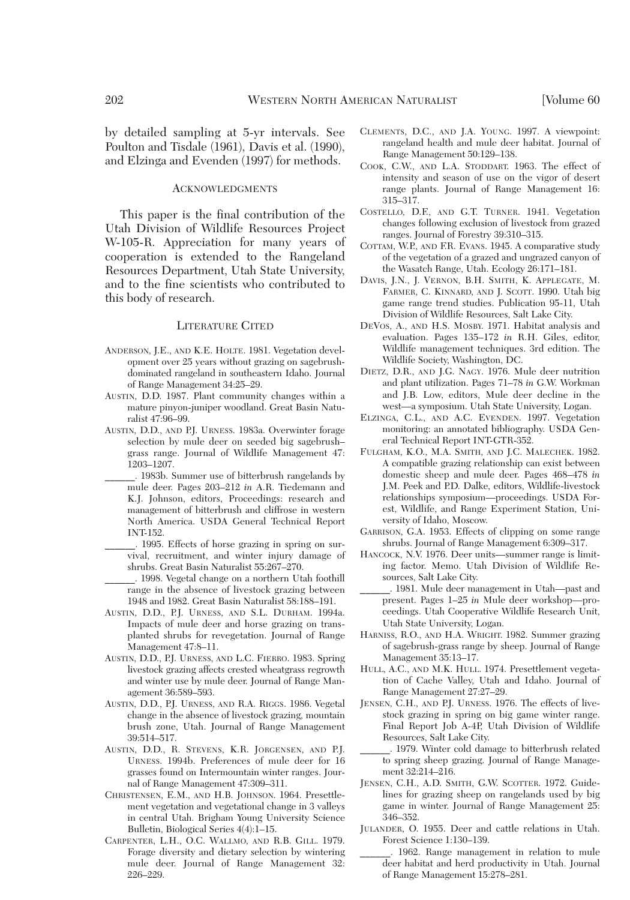by detailed sampling at 5-yr intervals. See Poulton and Tisdale (1961), Davis et al. (1990), and Elzinga and Evenden (1997) for methods.

### ACKNOWLEDGMENTS

This paper is the final contribution of the Utah Division of Wildlife Resources Project W-105-R. Appreciation for many years of cooperation is extended to the Rangeland Resources Department, Utah State University, and to the fine scientists who contributed to this body of research.

#### LITERATURE CITED

- ANDERSON, J.E., AND K.E. HOLTE. 1981. Vegetation development over 25 years without grazing on sagebrushdominated rangeland in southeastern Idaho. Journal of Range Management 34:25–29.
- AUSTIN, D.D. 1987. Plant community changes within a mature pinyon-juniper woodland. Great Basin Naturalist 47:96–99.
- AUSTIN, D.D., AND P.J. URNESS. 1983a. Overwinter forage selection by mule deer on seeded big sagebrush– grass range. Journal of Wildlife Management 47: 1203–1207.
	- \_\_\_\_\_\_. 1983b. Summer use of bitterbrush rangelands by mule deer. Pages 203–212 *in* A.R. Tiedemann and K.J. Johnson, editors, Proceedings: research and management of bitterbrush and cliffrose in western North America. USDA General Technical Report INT-152.
	- \_\_\_\_\_\_. 1995. Effects of horse grazing in spring on survival, recruitment, and winter injury damage of shrubs. Great Basin Naturalist 55:267–270.
	- \_\_\_\_\_\_. 1998. Vegetal change on a northern Utah foothill range in the absence of livestock grazing between 1948 and 1982. Great Basin Naturalist 58:188–191.
- AUSTIN, D.D., P.J. URNESS, AND S.L. DURHAM. 1994a. Impacts of mule deer and horse grazing on transplanted shrubs for revegetation. Journal of Range Management 47:8–11.
- AUSTIN, D.D., P.J. URNESS, AND L.C. FIERRO. 1983. Spring livestock grazing affects crested wheatgrass regrowth and winter use by mule deer. Journal of Range Management 36:589–593.
- AUSTIN, D.D., P.J. URNESS, AND R.A. RIGGS. 1986. Vegetal change in the absence of livestock grazing, mountain brush zone, Utah. Journal of Range Management 39:514–517.
- AUSTIN, D.D., R. STEVENS, K.R. JORGENSEN, AND P.J. URNESS. 1994b. Preferences of mule deer for 16 grasses found on Intermountain winter ranges. Journal of Range Management 47:309–311.
- CHRISTENSEN, E.M., AND H.B. JOHNSON. 1964. Presettlement vegetation and vegetational change in 3 valleys in central Utah. Brigham Young University Science Bulletin, Biological Series 4(4):1–15.
- CARPENTER, L.H., O.C. WALLMO, AND R.B. GILL. 1979. Forage diversity and dietary selection by wintering mule deer. Journal of Range Management 32: 226–229.
- CLEMENTS, D.C., AND J.A. YOUNG. 1997. A viewpoint: rangeland health and mule deer habitat. Journal of Range Management 50:129–138.
- COOK, C.W., AND L.A. STODDART. 1963. The effect of intensity and season of use on the vigor of desert range plants. Journal of Range Management 16: 315–317.
- COSTELLO, D.F., AND G.T. TURNER. 1941. Vegetation changes following exclusion of livestock from grazed ranges. Journal of Forestry 39:310–315.
- COTTAM, W.P., AND F.R. EVANS. 1945. A comparative study of the vegetation of a grazed and ungrazed canyon of the Wasatch Range, Utah. Ecology 26:171–181.
- DAVIS, J.N., J. VERNON, B.H. SMITH, K. APPLEGATE, M. FARMER, C. KINNARD, AND J. SCOTT. 1990. Utah big game range trend studies. Publication 95-11, Utah Division of Wildlife Resources, Salt Lake City.
- DEVOS, A., AND H.S. MOSBY. 1971. Habitat analysis and evaluation. Pages 135–172 *in* R.H. Giles, editor, Wildlife management techniques. 3rd edition. The Wildlife Society, Washington, DC.
- DIETZ, D.R., AND J.G. NAGY. 1976. Mule deer nutrition and plant utilization. Pages 71–78 *in* G.W. Workman and J.B. Low, editors, Mule deer decline in the west—a symposium. Utah State University, Logan.
- ELZINGA, C.L., AND A.C. EVENDEN. 1997. Vegetation monitoring: an annotated bibliography. USDA General Technical Report INT-GTR-352.
- FULGHAM, K.O., M.A. SMITH, AND J.C. MALECHEK. 1982. A compatible grazing relationship can exist between domestic sheep and mule deer. Pages 468–478 *in* J.M. Peek and P.D. Dalke, editors, Wildlife-livestock relationships symposium—proceedings. USDA Forest, Wildlife, and Range Experiment Station, University of Idaho, Moscow.
- GARRISON, G.A. 1953. Effects of clipping on some range shrubs. Journal of Range Management 6:309–317.
- HANCOCK, N.V. 1976. Deer units—summer range is limiting factor. Memo. Utah Division of Wildlife Resources, Salt Lake City.
- \_\_\_\_\_\_. 1981. Mule deer management in Utah—past and present. Pages 1–25 *in* Mule deer workshop—proceedings. Utah Cooperative Wildlife Research Unit, Utah State University, Logan.
- HARNISS, R.O., AND H.A. WRIGHT. 1982. Summer grazing of sagebrush-grass range by sheep. Journal of Range Management 35:13–17.
- HULL, A.C., AND M.K. HULL. 1974. Presettlement vegetation of Cache Valley, Utah and Idaho. Journal of Range Management 27:27–29.
- JENSEN, C.H., AND P.J. URNESS. 1976. The effects of livestock grazing in spring on big game winter range. Final Report Job A-4P, Utah Division of Wildlife Resources, Salt Lake City.
- \_\_\_\_\_\_. 1979. Winter cold damage to bitterbrush related to spring sheep grazing. Journal of Range Management 32:214–216.
- JENSEN, C.H., A.D. SMITH, G.W. SCOTTER. 1972. Guidelines for grazing sheep on rangelands used by big game in winter. Journal of Range Management 25: 346–352.
- JULANDER, O. 1955. Deer and cattle relations in Utah. Forest Science 1:130–139.
- \_\_\_\_\_\_. 1962. Range management in relation to mule deer habitat and herd productivity in Utah. Journal of Range Management 15:278–281.